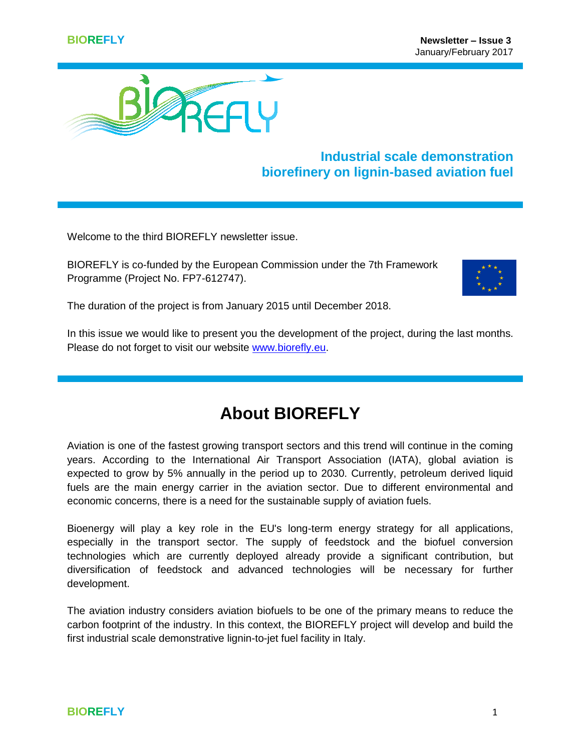

### **Industrial scale demonstration biorefinery on lignin-based aviation fuel**

Welcome to the third BIOREFLY newsletter issue.

BIOREFLY is co-funded by the European Commission under the 7th Framework Programme (Project No. FP7-612747).



The duration of the project is from January 2015 until December 2018.

In this issue we would like to present you the development of the project, during the last months. Please do not forget to visit our website [www.biorefly.eu.](http://www.biorefly.eu/)

# **About BIOREFLY**

Aviation is one of the fastest growing transport sectors and this trend will continue in the coming years. According to the International Air Transport Association (IATA), global aviation is expected to grow by 5% annually in the period up to 2030. Currently, petroleum derived liquid fuels are the main energy carrier in the aviation sector. Due to different environmental and economic concerns, there is a need for the sustainable supply of aviation fuels.

Bioenergy will play a key role in the EU's long-term energy strategy for all applications, especially in the transport sector. The supply of feedstock and the biofuel conversion technologies which are currently deployed already provide a significant contribution, but diversification of feedstock and advanced technologies will be necessary for further development.

The aviation industry considers aviation biofuels to be one of the primary means to reduce the carbon footprint of the industry. In this context, the BIOREFLY project will develop and build the first industrial scale demonstrative lignin-to-jet fuel facility in Italy.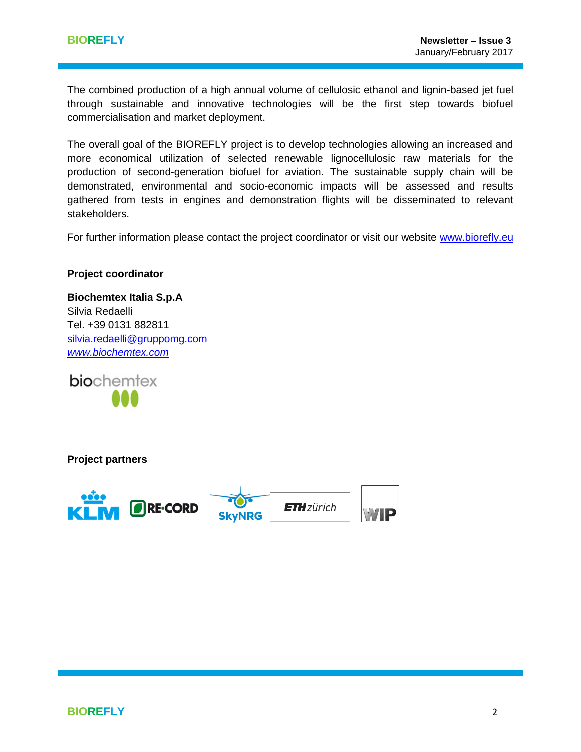The combined production of a high annual volume of cellulosic ethanol and lignin-based jet fuel through sustainable and innovative technologies will be the first step towards biofuel commercialisation and market deployment.

The overall goal of the BIOREFLY project is to develop technologies allowing an increased and more economical utilization of selected renewable lignocellulosic raw materials for the production of second-generation biofuel for aviation. The sustainable supply chain will be demonstrated, environmental and socio-economic impacts will be assessed and results gathered from tests in engines and demonstration flights will be disseminated to relevant stakeholders.

For further information please contact the project coordinator or visit our website [www.biorefly.eu](http://www.biorefly.eu/)

#### **Project coordinator**

**Biochemtex Italia S.p.A**  Silvia Redaelli Tel. +39 0131 882811 [silvia.redaelli@gruppomg.com](mailto:silvia.redaelli@gruppomg.com) *[www.biochemtex.com](http://www.biochemtex.com/)*

biochemtex

**Project partners**

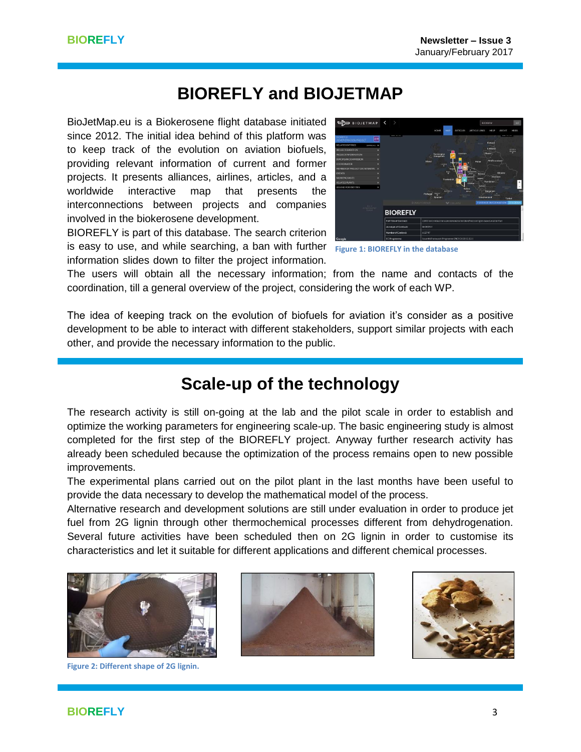## **BIOREFLY and BIOJETMAP**

BioJetMap.eu is a Biokerosene flight database initiated since 2012. The initial idea behind of this platform was to keep track of the evolution on aviation biofuels, providing relevant information of current and former projects. It presents alliances, airlines, articles, and a worldwide interactive map that presents the interconnections between projects and companies involved in the biokerosene development.

BIOREFLY is part of this database. The search criterion is easy to use, and while searching, a ban with further **Figure 1: BIOREFLY in the database**information slides down to filter the project information.



The users will obtain all the necessary information; from the name and contacts of the coordination, till a general overview of the project, considering the work of each WP.

The idea of keeping track on the evolution of biofuels for aviation it's consider as a positive development to be able to interact with different stakeholders, support similar projects with each other, and provide the necessary information to the public.

## **Scale-up of the technology**

The research activity is still on-going at the lab and the pilot scale in order to establish and optimize the working parameters for engineering scale-up. The basic engineering study is almost completed for the first step of the BIOREFLY project. Anyway further research activity has already been scheduled because the optimization of the process remains open to new possible improvements.

The experimental plans carried out on the pilot plant in the last months have been useful to provide the data necessary to develop the mathematical model of the process.

Alternative research and development solutions are still under evaluation in order to produce jet fuel from 2G lignin through other thermochemical processes different from dehydrogenation. Several future activities have been scheduled then on 2G lignin in order to customise its characteristics and let it suitable for different applications and different chemical processes.



**Figure 2: Different shape of 2G lignin.**



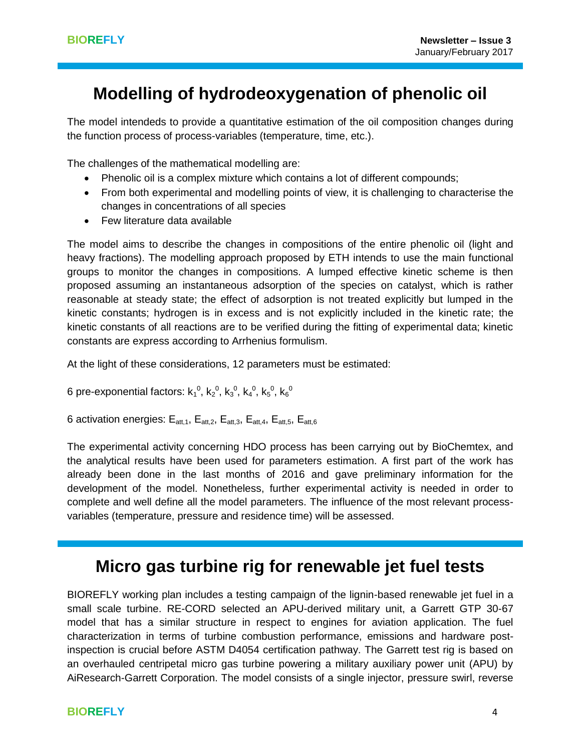# **Modelling of hydrodeoxygenation of phenolic oil**

The model intendeds to provide a quantitative estimation of the oil composition changes during the function process of process-variables (temperature, time, etc.).

The challenges of the mathematical modelling are:

- Phenolic oil is a complex mixture which contains a lot of different compounds;
- From both experimental and modelling points of view, it is challenging to characterise the changes in concentrations of all species
- Few literature data available

The model aims to describe the changes in compositions of the entire phenolic oil (light and heavy fractions). The modelling approach proposed by ETH intends to use the main functional groups to monitor the changes in compositions. A lumped effective kinetic scheme is then proposed assuming an instantaneous adsorption of the species on catalyst, which is rather reasonable at steady state; the effect of adsorption is not treated explicitly but lumped in the kinetic constants; hydrogen is in excess and is not explicitly included in the kinetic rate; the kinetic constants of all reactions are to be verified during the fitting of experimental data; kinetic constants are express according to Arrhenius formulism.

At the light of these considerations, 12 parameters must be estimated:

6 pre-exponential factors: k $_1^0$ , k $_2^0$ , k $_3^0$ , k $_4^0$ , k $_5^0$ , k $_6^0$ 

6 activation energies:  $E_{\text{att.1}}$ ,  $E_{\text{att.2}}$ ,  $E_{\text{att.3}}$ ,  $E_{\text{att.4}}$ ,  $E_{\text{att.5}}$ ,  $E_{\text{att.6}}$ 

The experimental activity concerning HDO process has been carrying out by BioChemtex, and the analytical results have been used for parameters estimation. A first part of the work has already been done in the last months of 2016 and gave preliminary information for the development of the model. Nonetheless, further experimental activity is needed in order to complete and well define all the model parameters. The influence of the most relevant processvariables (temperature, pressure and residence time) will be assessed.

## **Micro gas turbine rig for renewable jet fuel tests**

BIOREFLY working plan includes a testing campaign of the lignin-based renewable jet fuel in a small scale turbine. RE-CORD selected an APU-derived military unit, a Garrett GTP 30-67 model that has a similar structure in respect to engines for aviation application. The fuel characterization in terms of turbine combustion performance, emissions and hardware postinspection is crucial before ASTM D4054 certification pathway. The Garrett test rig is based on an overhauled centripetal micro gas turbine powering a military auxiliary power unit (APU) by AiResearch-Garrett Corporation. The model consists of a single injector, pressure swirl, reverse

#### **BIOREFLY** 4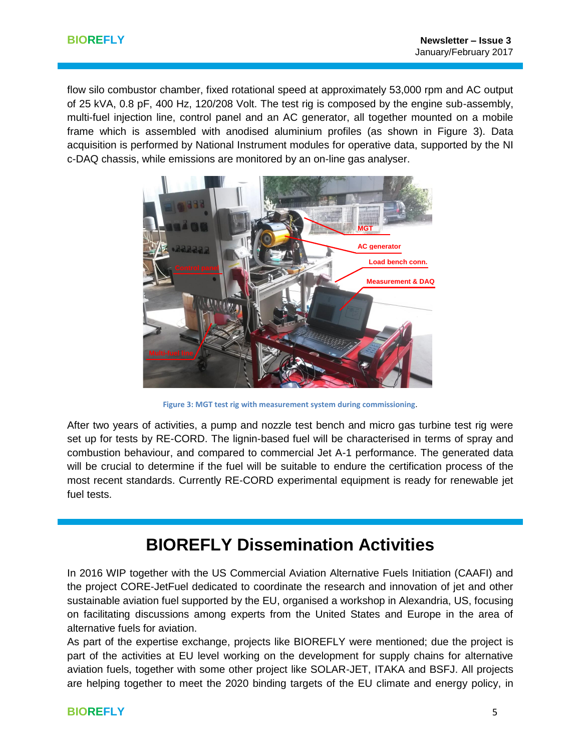flow silo combustor chamber, fixed rotational speed at approximately 53,000 rpm and AC output of 25 kVA, 0.8 pF, 400 Hz, 120/208 Volt. The test rig is composed by the engine sub-assembly, multi-fuel injection line, control panel and an AC generator, all together mounted on a mobile frame which is assembled with anodised aluminium profiles (as shown in Figure 3). Data acquisition is performed by National Instrument modules for operative data, supported by the NI c-DAQ chassis, while emissions are monitored by an on-line gas analyser.



**Figure 3: MGT test rig with measurement system during commissioning**.

After two years of activities, a pump and nozzle test bench and micro gas turbine test rig were set up for tests by RE-CORD. The lignin-based fuel will be characterised in terms of spray and combustion behaviour, and compared to commercial Jet A-1 performance. The generated data will be crucial to determine if the fuel will be suitable to endure the certification process of the most recent standards. Currently RE-CORD experimental equipment is ready for renewable jet fuel tests.

## **BIOREFLY Dissemination Activities**

In 2016 WIP together with the US Commercial Aviation Alternative Fuels Initiation (CAAFI) and the project CORE-JetFuel dedicated to coordinate the research and innovation of jet and other sustainable aviation fuel supported by the EU, organised a workshop in Alexandria, US, focusing on facilitating discussions among experts from the United States and Europe in the area of alternative fuels for aviation.

As part of the expertise exchange, projects like BIOREFLY were mentioned; due the project is part of the activities at EU level working on the development for supply chains for alternative aviation fuels, together with some other project like SOLAR-JET, ITAKA and BSFJ. All projects are helping together to meet the 2020 binding targets of the EU climate and energy policy, in

#### **BIOREFLY** 5